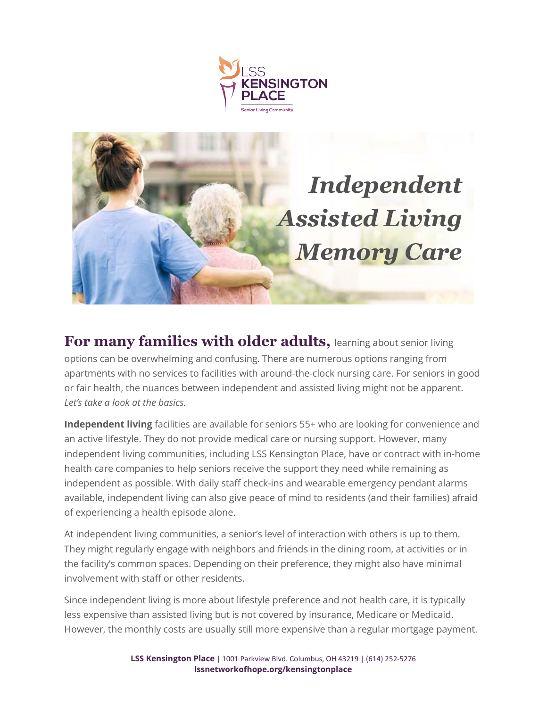



**For many families with older adults,** learning about senior living options can be overwhelming and confusing. There are numerous options ranging from apartments with no services to facilities with around-the-clock nursing care. For seniors in good or fair health, the nuances between independent and assisted living might not be apparent. *Let's take a look at the basics.*

**Independent living** facilities are available for seniors 55+ who are looking for convenience and an active lifestyle. They do not provide medical care or nursing support. However, many independent living communities, including LSS Kensington Place, have or contract with in-home health care companies to help seniors receive the support they need while remaining as independent as possible. With daily staff check-ins and wearable emergency pendant alarms available, independent living can also give peace of mind to residents (and their families) afraid of experiencing a health episode alone.

At independent living communities, a senior's level of interaction with others is up to them. They might regularly engage with neighbors and friends in the dining room, at activities or in the facility's common spaces. Depending on their preference, they might also have minimal involvement with staff or other residents.

Since independent living is more about lifestyle preference and not health care, it is typically less expensive than assisted living but is not covered by insurance, Medicare or Medicaid. However, the monthly costs are usually still more expensive than a regular mortgage payment.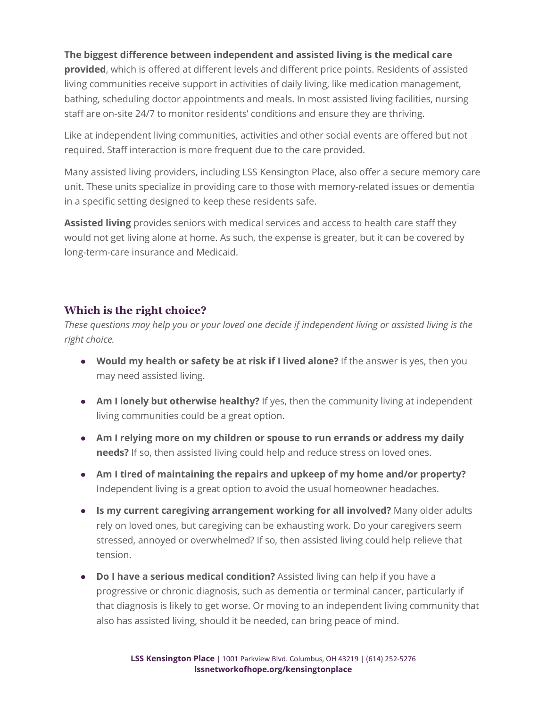## **The biggest difference between independent and assisted living is the medical care**

**provided**, which is offered at different levels and different price points. Residents of assisted living communities receive support in activities of daily living, like medication management, bathing, scheduling doctor appointments and meals. In most assisted living facilities, nursing staff are on-site 24/7 to monitor residents' conditions and ensure they are thriving.

Like at independent living communities, activities and other social events are offered but not required. Staff interaction is more frequent due to the care provided.

Many assisted living providers, including LSS Kensington Place, also offer a secure memory care unit. These units specialize in providing care to those with memory-related issues or dementia in a specific setting designed to keep these residents safe.

**Assisted living** provides seniors with medical services and access to health care staff they would not get living alone at home. As such, the expense is greater, but it can be covered by long-term-care insurance and Medicaid.

## **Which is the right choice?**

*These questions may help you or your loved one decide if independent living or assisted living is the right choice.*

- **● Would my health or safety be at risk if I lived alone?** If the answer is yes, then you may need assisted living.
- **● Am I lonely but otherwise healthy?** If yes, then the community living at independent living communities could be a great option.
- **● Am I relying more on my children or spouse to run errands or address my daily needs?** If so, then assisted living could help and reduce stress on loved ones.
- **● Am I tired of maintaining the repairs and upkeep of my home and/or property?** Independent living is a great option to avoid the usual homeowner headaches.
- **● Is my current caregiving arrangement working for all involved?** Many older adults rely on loved ones, but caregiving can be exhausting work. Do your caregivers seem stressed, annoyed or overwhelmed? If so, then assisted living could help relieve that tension.
- **● Do I have a serious medical condition?** Assisted living can help if you have a progressive or chronic diagnosis, such as dementia or terminal cancer, particularly if that diagnosis is likely to get worse. Or moving to an independent living community that also has assisted living, should it be needed, can bring peace of mind.